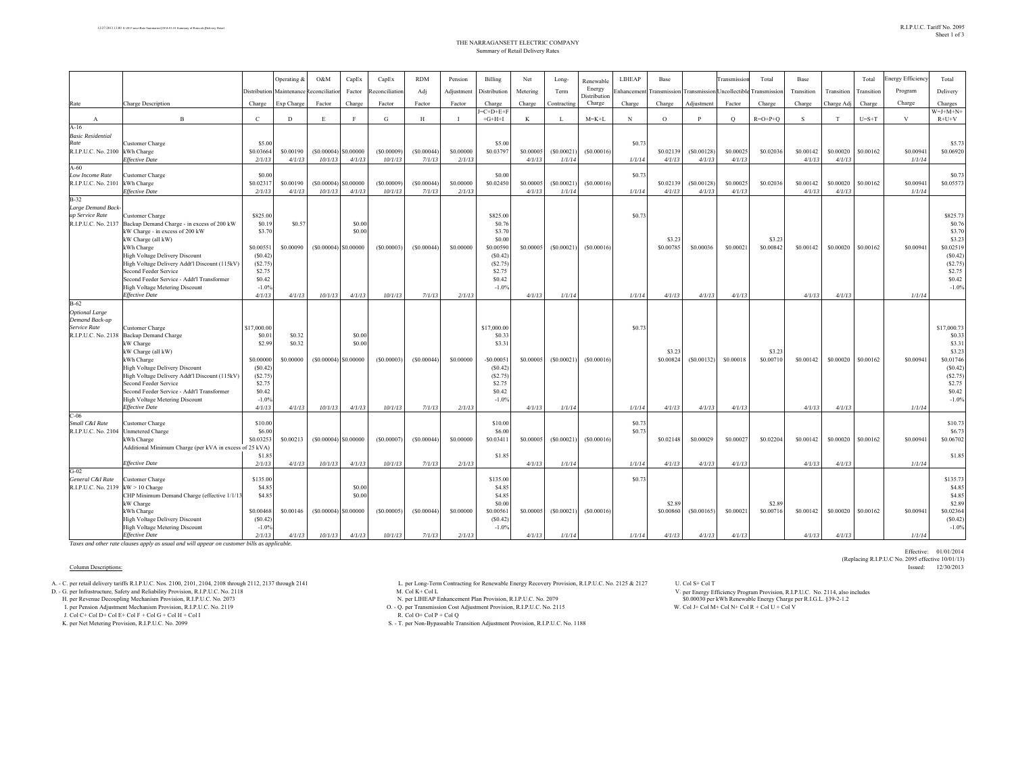|                                         |                                                                        |                   | Operating & | O&M                    | CapEx        | CapEx         | <b>RDM</b> | Pension        | Billing             | Net       | Long-        | Renewable              | LIHEAP      | Base                |              | Transmissic  | Total               | Base       |            | Total      | <b>Energy Efficiency</b> | Total               |
|-----------------------------------------|------------------------------------------------------------------------|-------------------|-------------|------------------------|--------------|---------------|------------|----------------|---------------------|-----------|--------------|------------------------|-------------|---------------------|--------------|--------------|---------------------|------------|------------|------------|--------------------------|---------------------|
|                                         |                                                                        | Distribution      | Maintenance | econciliati            | Factor       | econciliation | Adj        | Adjustment     | Distribution        | Metering  | Term         | Energy                 | Enhancemen  | ransmission         | Transmission | Jncollectibl | ransmission         | Transition | Transition | Transition | Program                  | Delivery            |
| Rate                                    | <b>Charge Description</b>                                              | Charge            | Exp Charge  | Factor                 | Charge       | Factor        | Factor     | Factor         | Charge              | Charge    | Contracting  | Distribution<br>Charge | Charge      | Charge              | Adjustment   | Factor       | Charge              | Charge     | Charge Adj | Charge     | Charge                   | Charges             |
|                                         |                                                                        |                   |             |                        |              |               |            |                | $=C+D+E+F$          |           |              |                        |             |                     |              |              |                     |            |            |            |                          | $W=J+M+N+$          |
| $\mathbf{A}$                            | $\mathbf{B}$                                                           | $\mathbf{C}$      | D           | E                      | $\mathbf{F}$ | G             | H          | $\blacksquare$ | $+G+H+I$            | $\bf K$   | $\mathbf{I}$ | $M = K + L$            | $\mathbf N$ | $\circ$             | $\mathbf{p}$ | $\circ$      | $R=O+P+O$           | S          | T          | $U=S+T$    | $\mathbf{V}$             | $R+U+V$             |
| $A-16$<br><b>Basic Residential</b>      |                                                                        |                   |             |                        |              |               |            |                |                     |           |              |                        |             |                     |              |              |                     |            |            |            |                          |                     |
| Rate                                    | Customer Charge                                                        | \$5.00            |             |                        |              |               |            |                | \$5.00              |           |              |                        | \$0.73      |                     |              |              |                     |            |            |            |                          | \$5.7               |
| R.I.P.U.C. No. 2100                     | kWh Charge                                                             | \$0.03664         | \$0.00190   | (S0.00004)             | \$0.00000    | (S0.00009)    | (S0.00044) | \$0,00000      | \$0.03797           | \$0,00005 | (S0.00021)   | (S0.00016)             |             | \$0.02139           | (S0.00128)   | \$0,00025    | \$0.02036           | \$0.00142  | \$0.00020  | \$0.00162  | \$0.00941                | \$0.06920           |
|                                         | <b>Effective Date</b>                                                  | 2/1/13            | 4/1/13      | 10/1/13                | 4/1/13       | 10/1/13       | 7/1/13     | 2/1/13         |                     | 4/1/13    | 1/1/14       |                        | 1/1/14      | 4/1/13              | 4/1/13       | 4/1/13       |                     | 4/1/13     | 4/1/13     |            | 1/1/14                   |                     |
| $A-60$<br>Low Income Rate               |                                                                        | \$0.00            |             |                        |              |               |            |                |                     |           |              |                        |             |                     |              |              |                     |            |            |            |                          |                     |
| R.I.P.U.C. No. 2101                     | <b>Customer Charge</b><br>kWh Charge                                   | \$0.02317         | \$0.00190   | (S0.00004)             | \$0,00000    | (S0.00009)    | (S0.00044) | \$0,00000      | \$0.00<br>\$0.02450 | \$0,00005 | (S0.00021)   | (S0.00016)             | \$0.73      | \$0.02139           | (S0.00128)   | \$0.00025    | \$0.02036           | \$0.00142  | \$0.00020  | \$0.00162  | \$0.00941                | \$0.7<br>\$0.05573  |
|                                         | <b>Effective Date</b>                                                  | 2/1/13            | 4/1/13      | 10/1/13                | 4/1/13       | 10/1/13       | 7/1/13     | 2/1/13         |                     | 4/1/13    | 1/1/14       |                        | 1/1/14      | 4/1/13              | 4/1/13       | 4/1/13       |                     | 4/1/13     | 4/1/13     |            | 1/1/14                   |                     |
| $B-32$                                  |                                                                        |                   |             |                        |              |               |            |                |                     |           |              |                        |             |                     |              |              |                     |            |            |            |                          |                     |
| Large Demand Back-                      |                                                                        |                   |             |                        |              |               |            |                |                     |           |              |                        |             |                     |              |              |                     |            |            |            |                          |                     |
| up Service Rate                         | <b>Customer Charge</b>                                                 | \$825.00          |             |                        |              |               |            |                | \$825.00            |           |              |                        | \$0.73      |                     |              |              |                     |            |            |            |                          | \$825.7             |
| R.I.P.U.C. No. 2137                     | Backup Demand Charge - in excess of 200 kW                             | \$0.19            | \$0.57      |                        | \$0.00       |               |            |                | \$0.76              |           |              |                        |             |                     |              |              |                     |            |            |            |                          | \$0.76              |
|                                         | kW Charge - in excess of 200 kW                                        | \$3.70            |             |                        | \$0.00       |               |            |                | \$3.70              |           |              |                        |             |                     |              |              |                     |            |            |            |                          | \$3.70              |
|                                         | kW Charge (all kW)<br>kWh Charge                                       | \$0.00551         | \$0,00090   | $(S0.00004)$ S0.00000  |              | (S0.00003)    | (S0.00044) | \$0,00000      | \$0.00<br>\$0,00590 | \$0.00005 | (S0.00021)   | (S0.00016)             |             | \$3.23<br>\$0,00785 | \$0.00036    | \$0,00021    | \$3.23<br>\$0.00842 | \$0.00142  | \$0.00020  | \$0.00162  | \$0.00941                | \$3.23<br>\$0.02519 |
|                                         | High Voltage Delivery Discount                                         | (S0.42)           |             |                        |              |               |            |                | (S0.42)             |           |              |                        |             |                     |              |              |                     |            |            |            |                          | (S0.42)             |
|                                         | High Voltage Delivery Addt'l Discount (115kV)                          | (S2.75)           |             |                        |              |               |            |                | (S2.75)             |           |              |                        |             |                     |              |              |                     |            |            |            |                          | (S2.75)             |
|                                         | Second Feeder Service                                                  | \$2.75            |             |                        |              |               |            |                | \$2.75              |           |              |                        |             |                     |              |              |                     |            |            |            |                          | \$2.75              |
|                                         | Second Feeder Service - Addt'l Transformer                             | \$0.42            |             |                        |              |               |            |                | \$0.42              |           |              |                        |             |                     |              |              |                     |            |            |            |                          | \$0.42              |
|                                         | High Voltage Metering Discount                                         | $-1.0%$           |             |                        |              |               |            |                | $-1.0%$             |           |              |                        |             |                     |              |              |                     |            |            |            |                          | $-1.0%$             |
|                                         | <b>Effective Date</b>                                                  | 4/1/13            | 4/1/13      | 10/1/13                | 4/1/13       | 10/1/13       | 7/1/13     | 2/1/13         |                     | 4/1/13    | 1/1/14       |                        | 1/1/14      | 4/1/13              | 4/1/13       | 4/1/13       |                     | 4/1/13     | 4/1/13     |            | 1/1/14                   |                     |
| $B-62$                                  |                                                                        |                   |             |                        |              |               |            |                |                     |           |              |                        |             |                     |              |              |                     |            |            |            |                          |                     |
| <b>Optional Large</b><br>Demand Back-up |                                                                        |                   |             |                        |              |               |            |                |                     |           |              |                        |             |                     |              |              |                     |            |            |            |                          |                     |
| Service Rate                            | Customer Charge                                                        | \$17,000.00       |             |                        |              |               |            |                | \$17,000.00         |           |              |                        | \$0.73      |                     |              |              |                     |            |            |            |                          | \$17,000.7          |
| R.I.P.U.C. No. 2138                     | <b>Backup Demand Charge</b>                                            | \$0.0             | \$0.32      |                        | \$0.00       |               |            |                | \$0.33              |           |              |                        |             |                     |              |              |                     |            |            |            |                          | \$0.33              |
|                                         | kW Charge                                                              | \$2.99            | \$0.32      |                        | \$0.00       |               |            |                | \$3.31              |           |              |                        |             |                     |              |              |                     |            |            |            |                          | \$3.3               |
|                                         | kW Charge (all kW)                                                     |                   |             |                        |              |               |            |                |                     |           |              |                        |             | \$3.23              |              |              | \$3.23              |            |            |            |                          | \$3.23              |
|                                         | kWh Charge                                                             | \$0.00000         | \$0.00000   | $(S0.00004)$ S0.00000  |              | (S0.00003)    | (S0.00044) | \$0,00000      | $-$ S0.0005         | \$0.00005 | (S0.00021)   | (S0.00016)             |             | \$0.00824           | (S0.00132)   | \$0,00018    | \$0.00710           | \$0.00142  | \$0.00020  | \$0.00162  | \$0.00941                | \$0.01746           |
|                                         | High Voltage Delivery Discount                                         | (S0.42)           |             |                        |              |               |            |                | (S0.42)             |           |              |                        |             |                     |              |              |                     |            |            |            |                          | (S0.42)             |
|                                         | High Voltage Delivery Addt'l Discount (115kV)<br>Second Feeder Service | (S2.75)<br>\$2.75 |             |                        |              |               |            |                | (S2.75)<br>\$2.75   |           |              |                        |             |                     |              |              |                     |            |            |            |                          | (S2.75)<br>\$2.75   |
|                                         | Second Feeder Service - Addt'l Transformer                             | \$0.42            |             |                        |              |               |            |                | \$0.42              |           |              |                        |             |                     |              |              |                     |            |            |            |                          | \$0.42              |
|                                         | <b>High Voltage Metering Discount</b>                                  | $-1.0%$           |             |                        |              |               |            |                | $-1.0%$             |           |              |                        |             |                     |              |              |                     |            |            |            |                          | $-1.0%$             |
|                                         | <b>Effective Date</b>                                                  | 4/1/13            | 4/1/13      | 10/1/13                | 4/1/13       | 10/1/13       | 7/1/13     | 2/1/13         |                     | 4/1/13    | 1/1/14       |                        | 1/1/14      | 4/1/13              | 4/1/13       | 4/1/13       |                     | 4/1/13     | 4/1/13     |            | 1/1/14                   |                     |
| $C-06$                                  |                                                                        |                   |             |                        |              |               |            |                |                     |           |              |                        |             |                     |              |              |                     |            |            |            |                          |                     |
| Small C&I Rate                          | Customer Charge                                                        | \$10.00           |             |                        |              |               |            |                | \$10.00             |           |              |                        | \$0.73      |                     |              |              |                     |            |            |            |                          | \$10.73             |
| R.I.P.U.C. No. 2104                     | <b>Unmetered Charge</b>                                                | \$6.00            |             |                        |              |               |            |                | \$6.00              |           |              |                        | \$0.73      |                     |              |              |                     |            |            |            |                          | \$6.7               |
|                                         | kWh Charge                                                             | \$0.03253         | \$0.00213   | $(S0.00004)$ \$0.00000 |              | (\$0.00007)   | (S0.00044) | \$0,00000      | \$0.03411           | \$0.00005 | (S0.00021)   | (S0.00016)             |             | \$0.02148           | \$0.00029    | \$0.00027    | \$0.02204           | \$0.00142  | \$0.00020  | \$0.00162  | \$0.00941                | \$0.06702           |
|                                         | Additional Minimum Charge (per kVA in excess of 25 kVA)                | \$1.85            |             |                        |              |               |            |                | \$1.85              |           |              |                        |             |                     |              |              |                     |            |            |            |                          | \$1.85              |
|                                         | <b>Effective Date</b>                                                  | 2/1/13            | 4/1/13      | 10/1/13                | 4/1/13       | 10/1/13       | 7/1/13     | 2/1/13         |                     | 4/1/13    | 1/1/14       |                        | 1/1/14      | 4/1/13              | 4/1/13       | 4/1/13       |                     | 4/1/13     | 4/1/13     |            | 1/1/14                   |                     |
| $G-02$                                  |                                                                        |                   |             |                        |              |               |            |                |                     |           |              |                        |             |                     |              |              |                     |            |            |            |                          |                     |
| General C&I Rate                        | Customer Charge                                                        | \$135.00          |             |                        |              |               |            |                | \$135.00            |           |              |                        | \$0.73      |                     |              |              |                     |            |            |            |                          | \$135.73            |
| R.I.P.U.C. No. 2139 kW > 10 Charge      |                                                                        | \$4.85            |             |                        | \$0.00       |               |            |                | \$4.85              |           |              |                        |             |                     |              |              |                     |            |            |            |                          | \$4.85              |
|                                         | CHP Minimum Demand Charge (effective 1/1/1)                            | \$4.85            |             |                        | \$0.00       |               |            |                | \$4.85              |           |              |                        |             |                     |              |              |                     |            |            |            |                          | \$4.85              |
|                                         | kW Charge<br>kWh Charge                                                | \$0.00468         | \$0.00146   | $(S0.00004)$ \$0.00000 |              |               | (S0.00044) | \$0,00000      | \$0.00<br>\$0.00561 | \$0.00005 |              | (S0.00016)             |             | \$2.89<br>\$0.00860 |              | \$0,00021    | \$2.89<br>\$0,00716 | \$0.00142  | \$0.00020  | \$0.00162  | \$0.00941                | \$2.89<br>\$0.02364 |
|                                         | <b>High Voltage Delivery Discount</b>                                  | (S0.42)           |             |                        |              | (S0.00005)    |            |                | (S0.42)             |           | (S0.00021)   |                        |             |                     | (S0.00165)   |              |                     |            |            |            |                          | (S0.42)             |
|                                         | <b>High Voltage Metering Discount</b>                                  | $-1.0%$           |             |                        |              |               |            |                | $-1.0%$             |           |              |                        |             |                     |              |              |                     |            |            |            |                          | $-1.0%$             |
|                                         | <b>Effective Date</b>                                                  | 2/1/13            | 4/1/13      | 10/1/13                | 4/1/13       | 10/1/13       | 7/1/13     | 2/1/13         |                     | 4/1/13    | 1/1/14       |                        | 1/1/14      | 4/1/13              | 4/1/13       | 4/1/13       |                     | 4/1/13     | 4/1/13     |            | 1/1/14                   |                     |

*Taxes and other rate clauses apply as usual and will appear on customer bills as applicable.*

## Column Descriptions: Issued: 12/30/2013

K. per Net Metering Provision, R.I.P.U.C. No. 2099 S. - T. per Non-Bypassable Transition Adjustment Provision, R.I.P.U.C. No. 1188

A. - C. per treat delivery provision, R.IP.U.C. No. 2125 & 2127 U.C. No. 2125 & 2127 U.C. No. 2125 & 2127 U.C.<br>
A. Col Ber Long-Term Contracting for Renewable Energy Channel Man Provision, R.IP.U.C. No. 2125 & 2127 U.C. N per Energy Efficiency Program Provision, R.I.P.U.C. No. 2114, also includes \$0.00030 per kWh Renewable Energy Charge per R.I.G.L. §39-2-1.2

Effective: 01/01/2014

(Replacing R.I.P.U.C No. 2095 effective 10/01/13)